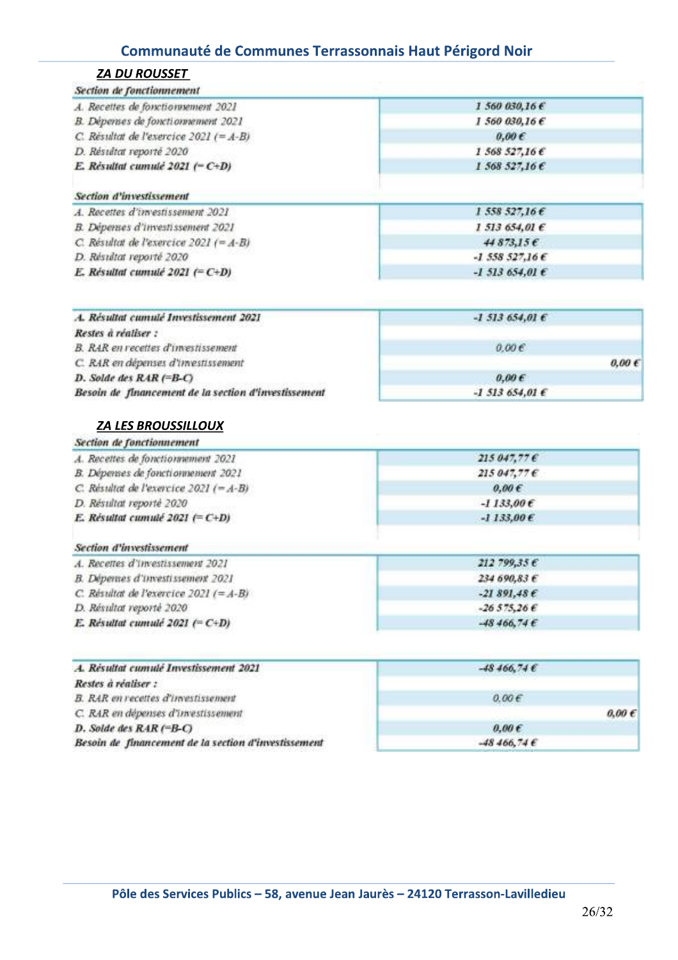| <b>ZA DU ROUSSET</b>                        |                            |  |
|---------------------------------------------|----------------------------|--|
| Section de fonctionnement                   |                            |  |
| A. Recettes de fonctionnement 2021          | 1 560 030,16€              |  |
| B. Dépenses de fonctionnement 2021          | 1,560,030,166              |  |
| C. Résultat de l'exercice 2021 (= $A-B$ )   | $0.00 \in$                 |  |
| D. Résultat reporté 2020                    | 1 568 527,16€              |  |
| E. Résultat cumulé 2021 ( $-C+D$ )          | $1,568,527,16$ $\epsilon$  |  |
| Section d'investissement                    |                            |  |
| A. Recettes d'investissement 2021           | $1,558,527,16$ $\epsilon$  |  |
| B. Dépenses d'investissement 2021           | 1.513654,016               |  |
| C. Résultat de l'exercice 2021 (= $A - B$ ) | 44873.156                  |  |
| D. Résidtat reporté 2020                    | $-1.558527,166$            |  |
| E. Résultat cumulé 2021 (= C+D)             | $-1,513,654,01$ $\epsilon$ |  |
|                                             |                            |  |
| A. Résultat cumulé Investissement 2021      | $-1513654.016$             |  |

| A. Résultat cumulé Investissement 2021                       | $-1,513,654,016$    |  |
|--------------------------------------------------------------|---------------------|--|
| 1209-09-09-09-09-09-09-09-09-09-09-09<br>Restes à réaliser : |                     |  |
| B. RAR en recettes d'investissement                          | 0.00 <sub>0</sub>   |  |
| C. RAR en dépenses d'investissement                          | $0,00 \in$          |  |
| D. Solde des RAR (=B-C)                                      | 0.00E               |  |
| Besoin de financement de la section d'investissement         | $-1.513.654.01 \in$ |  |

#### **ZA LES BROUSSILLOUX**

| $215.047.77 \,\mathrm{C}$ |  |
|---------------------------|--|
| $215.047,77 \in$          |  |
| $0.00 \in$                |  |
| $-1133,00E$               |  |
| $-1133,00E$               |  |
|                           |  |

| A. Recettes d'investissement 2021         | 212799,356       |  |
|-------------------------------------------|------------------|--|
| B. Dépenses d'investissement 2021         | 234690.83E       |  |
| C. Résultat de l'exercice 2021 (= $A-B$ ) | $-21891.48E$     |  |
| D. Résultat reporté 2020                  | $-26575266$      |  |
| E. Résultat cumulé 2021 (= $C+D$ )        | $-48,466,74 \in$ |  |

| A. Résultat cumulé Investissement 2021               | $-48,466,74$ $\epsilon$ |  |
|------------------------------------------------------|-------------------------|--|
| Restes à réaliser :                                  |                         |  |
| <b>B. RAR en recettes d'investissement</b>           | 0.00E                   |  |
| C. RAR en dépenses d'investissement                  | $0.00 \in$              |  |
| $D.$ Solde des $RAR$ (=B-C)                          | 0.00E                   |  |
| Besoin de financement de la section d'investissement | $-48,466,74$ €          |  |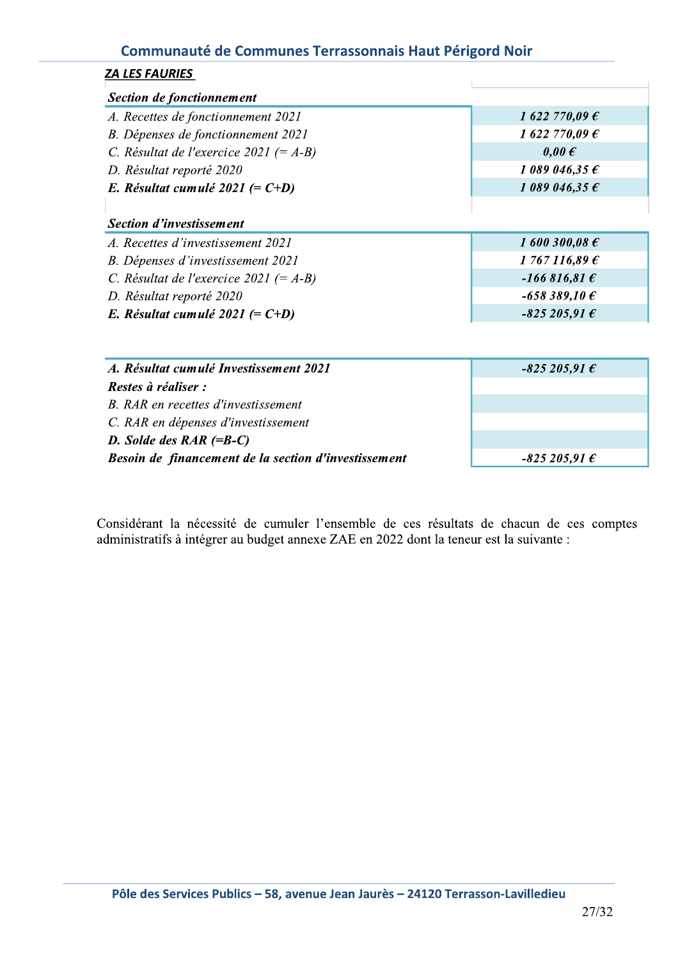| <u>ZA LES FAURIES</u>                                |                         |
|------------------------------------------------------|-------------------------|
| <b>Section de fonctionnement</b>                     |                         |
| A. Recettes de fonctionnement 2021                   | 1 622 770,09 $\epsilon$ |
| B. Dépenses de fonctionnement 2021                   | 1 622 770,09 $\epsilon$ |
| C. Résultat de l'exercice 2021 (= $A-B$ )            | $0,00 \in$              |
| D. Résultat reporté 2020                             | 1 089 046,35 $\epsilon$ |
| E. Résultat cumulé 2021 $(= C+D)$                    | 1 089 046,35 $\epsilon$ |
| <b>Section d'investissement</b>                      |                         |
| A. Recettes d'investissement 2021                    | 1 600 300,08 $\epsilon$ |
| B. Dépenses d'investissement 2021                    | 1767116,896             |
| C. Résultat de l'exercice 2021 (= A-B)               | $-166816,816$           |
| D. Résultat reporté 2020                             | $-658389,10E$           |
| E. Résultat cumulé 2021 (= $C+D$ )                   | $-825205,91$ $\epsilon$ |
|                                                      |                         |
| A. Résultat cumulé Investissement 2021               | $-825205,916$           |
| Restes à réaliser :                                  |                         |
| B. RAR en recettes d'investissement                  |                         |
| C. RAR en dépenses d'investissement                  |                         |
| D. Solde des $RAR$ (=B-C)                            |                         |
| Besoin de financement de la section d'investissement | $-825205,916$           |

 $\frac{1}{2}$ Considerant la necessité de cumuler l'ensemble de ces resultats de chacun de ces comptes administratifs à intégrer au budget annexe ZAE en 2022 dont la teneur est la suivante :

 $\overline{\phantom{a}}$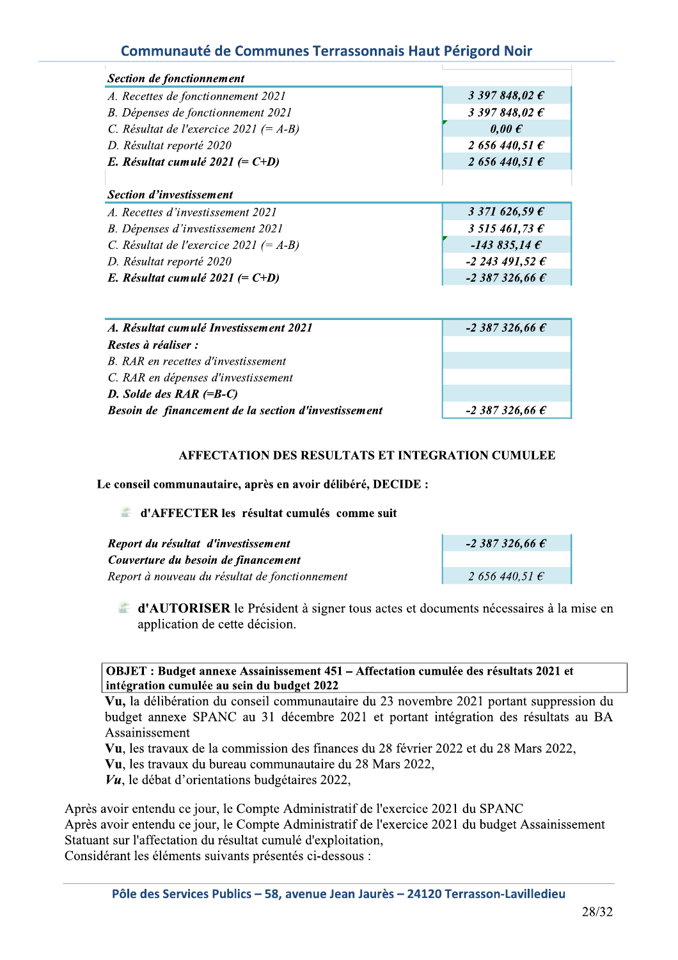| Section de fonctionnement                 |                         |
|-------------------------------------------|-------------------------|
| A. Recettes de fonctionnement 2021        | 3 397 848,02 $\epsilon$ |
| B. Dépenses de fonctionnement 2021        | 3 397 848,02 $\epsilon$ |
| C. Résultat de l'exercice 2021 (= $A-B$ ) | $0,00 \in$              |
| D. Résultat reporté 2020                  | 2 656 440,51 $\epsilon$ |
| E. Résultat cumulé 2021 (= $C+D$ )        | 2 656 440,51 $\epsilon$ |
|                                           |                         |
| <b>Section d'investissement</b>           |                         |
| A. Recettes d'investissement 2021         | 3 371 626,59 $\epsilon$ |
| B. Dépenses d'investissement 2021         | 3 515 461,73 $\epsilon$ |
| C. Résultat de l'exercice 2021 (= $A-B$ ) | $-143835,146$           |
|                                           |                         |
| D. Résultat reporté 2020                  | $-2243491,526$          |
| E. Résultat cumulé 2021 (= $C+D$ )        | $-2387326,666$          |

| A. Résultat cumulé Investissement 2021               | $-2,387,326,66 \in$ |
|------------------------------------------------------|---------------------|
| Restes à réaliser :                                  |                     |
| B. RAR en recettes d'investissement                  |                     |
| C. RAR en dépenses d'investissement                  |                     |
| D. Solde des $RAR$ (=B-C)                            |                     |
| Besoin de financement de la section d'investissement | $-2,387,326,66 \in$ |

#### **AFFECTATION DES RESULTATS ET INTEGRATION CUMULEE**

Le conseil communautaire, après en avoir délibéré, DECIDE :

#### d'AFFECTER les résultat cumulés comme suit

| Report du résultat d'investissement            | $-2,387,326,66 \in$ |
|------------------------------------------------|---------------------|
| Couverture du besoin de financement            |                     |
| Report à nouveau du résultat de fonctionnement | $2,656,440,51 \in$  |

d'AUTORISER le Président à signer tous actes et documents nécessaires à la mise en application de cette décision.

#### OBJET : Budget annexe Assainissement 451 – Affectation cumulée des résultats 2021 et intégration cumulée au sein du budget 2022

Vu, la délibération du conseil communautaire du 23 novembre 2021 portant suppression du budget annexe SPANC au 31 décembre 2021 et portant intégration des résultats au BA Assainissement

Vu, les travaux de la commission des finances du 28 février 2022 et du 28 Mars 2022,

Vu, les travaux du bureau communautaire du 28 Mars 2022,

 $Vu$ , le débat d'orientations budgétaires 2022,

Après avoir entendu ce jour, le Compte Administratif de l'exercice 2021 du SPANC Après avoir entendu ce jour, le Compte Administratif de l'exercice 2021 du budget Assainissement Statuant sur l'affectation du résultat cumulé d'exploitation, Considérant les éléments suivants présentés ci-dessous :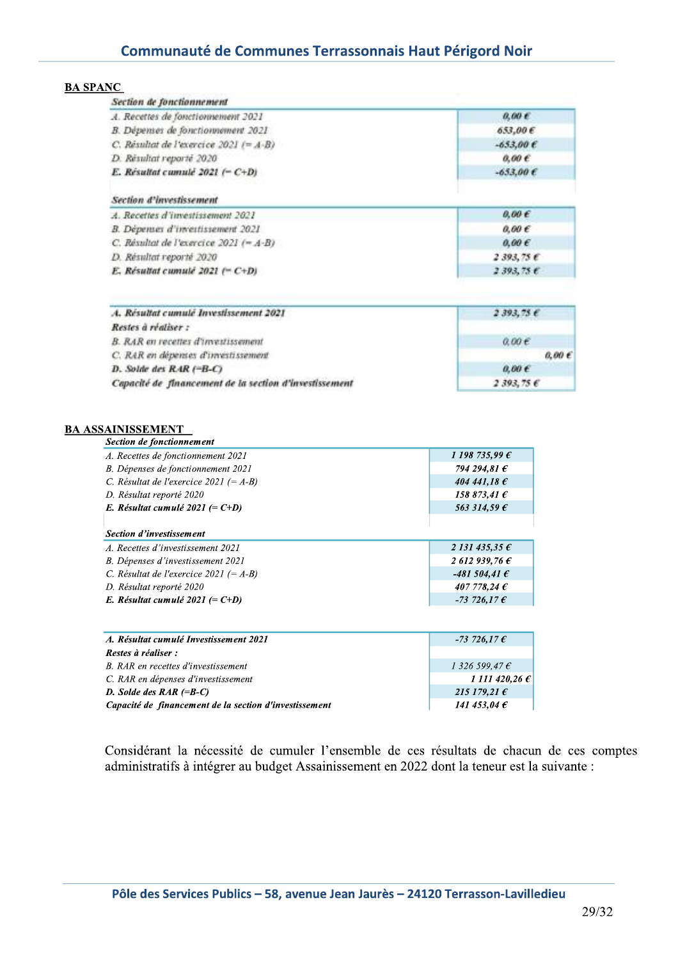| <b>BA SPANC</b> |  |
|-----------------|--|
|                 |  |

 $\overline{\phantom{a}}$ 

| Section de fonctionnement<br>A. Recettes de fonctionnement 2021 | $0,00 \in$                  |
|-----------------------------------------------------------------|-----------------------------|
| B. Dépenses de fonctionnement 2021                              | 653,00€                     |
| C. Résultat de l'exercice 2021 $(=A-B)$                         | $-653,00E$                  |
| D. Résultat reporté 2020                                        | $0,00 \in$                  |
| E. Résultat cumulé 2021 (- C+D)                                 | $-653,00 \text{ } \epsilon$ |
| Section d'investissement                                        |                             |
| A. Recettes d'investissement 2021                               | $0,00 \in$                  |
| B. Dépenses d'investissement 2021                               | $0,00 \in$                  |
| C. Résultat de l'exercice 2021 $(=A-B)$                         | $0,00 \in$                  |
| D. Résultat reporté 2020                                        | 2393,756                    |
| E. Résultat cumulé 2021 (= $C+D$ )                              | 2393,756                    |
| A. Résultat cumulé Investissement 2021                          | 2393,756                    |
| Restes à réaliser :                                             |                             |
| B. RAR en recettes d'investissement                             | 0.00E                       |
| C. RAR en dépenses d'investissement                             | $0,00 \in$                  |
| D. Solde des $RAR$ $( = B - C)$                                 | 0.00E                       |
| Capacité de financement de la section d'investissement          | 2393,756                    |

| A. Recettes de fonctionnement 2021                     | 1 198 735,99 $\epsilon$ |
|--------------------------------------------------------|-------------------------|
| B. Dépenses de fonctionnement 2021                     | 794 294,81 €            |
| C. Résultat de l'exercice 2021 (= $A-B$ )              | 404 441,18 $\epsilon$   |
| D. Résultat reporté 2020                               | 158 873,41 $\epsilon$   |
| E. Résultat cumulé 2021 (= $C+D$ )                     | 563 314,59 $\epsilon$   |
| Section d'investissement                               |                         |
| A. Recettes d'investissement 2021                      | 2131435,356             |
| B. Dépenses d'investissement 2021                      | 2 612 939,76 $\epsilon$ |
| C. Résultat de l'exercice 2021 (= A-B)                 | $-481504, 416$          |
| D. Résultat reporté 2020                               | 407 778,24 $\epsilon$   |
| E. Résultat cumulé 2021 (= $C+D$ )                     | $-73726,176$            |
|                                                        |                         |
| A. Résultat cumulé Investissement 2021                 | $-73\,726,17\,\epsilon$ |
| Restes à réaliser :                                    |                         |
| B. RAR en recettes d'investissement                    | $1326599,47 \in$        |
| C. RAR en dépenses d'investissement                    | 1 111 420,26 $\epsilon$ |
| D. Solde des $RAR$ (=B-C)                              | 215 179,21 €            |
| Capacité de financement de la section d'investissement | 141 453,04 $\epsilon$   |

Considérant la nécessité de cumuler l'ensemble de ces résultats de chacun de ces comptes administratifs à intégrer au budget Assainissement en 2022 dont la teneur est la suivante :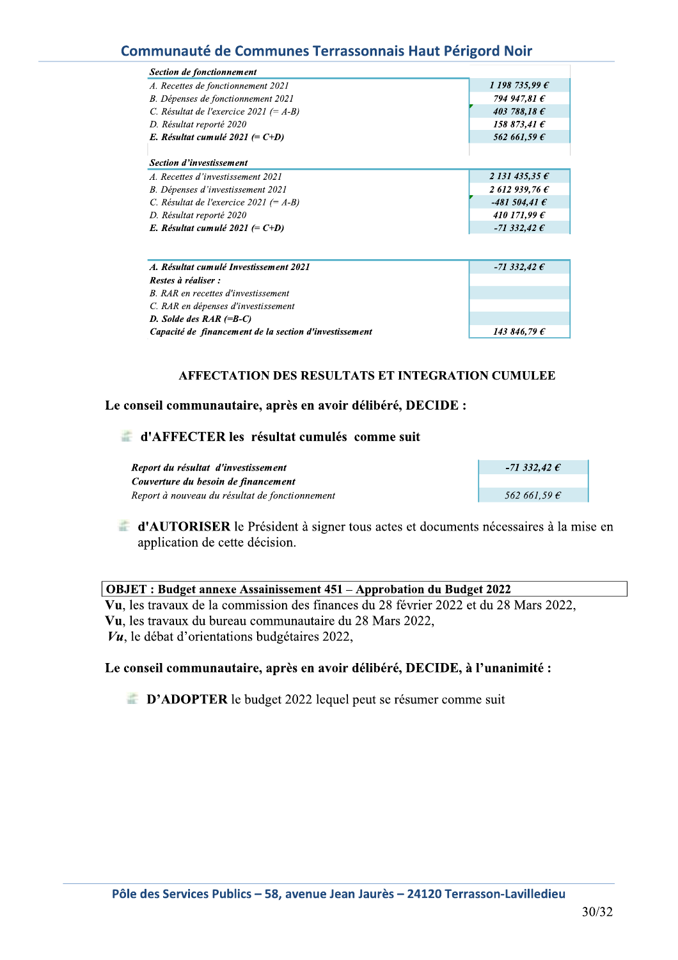| Section de fonctionnement                 |                         |
|-------------------------------------------|-------------------------|
| A. Recettes de fonctionnement 2021        | 1 198 735,99 $\epsilon$ |
| B. Dépenses de fonctionnement 2021        | 794 947,81 €            |
| C. Résultat de l'exercice 2021 (= $A-B$ ) | 403 788.18 $\epsilon$   |
| D. Résultat reporté 2020                  | 158 873,41 $\epsilon$   |
| E. Résultat cumulé 2021 (= $C+D$ )        | 562 661.59 $\epsilon$   |
|                                           |                         |
| <b>Section d'investissement</b>           |                         |
| A. Recettes d'investissement 2021         | 2 131 435,35 $\epsilon$ |
| B. Dépenses d'investissement 2021         | 2612939.76E             |
| C. Résultat de l'exercice 2021 (= $A-B$ ) | -481 504,41 $\epsilon$  |
| D. Résultat reporté 2020                  | 410 171,99 $\epsilon$   |
| E. Résultat cumulé 2021 (= $C+D$ )        | -71 332,42 $\epsilon$   |

| A. Résultat cumulé Investissement 2021                 | -71 332,42 $\epsilon$ |
|--------------------------------------------------------|-----------------------|
| Restes à réaliser :                                    |                       |
| B. RAR en recettes d'investissement                    |                       |
| C. RAR en dépenses d'investissement                    |                       |
| D. Solde des $RAR$ (=B-C)                              |                       |
| Capacité de financement de la section d'investissement | 143 846,79 $\epsilon$ |

#### AFFECTATION DES RESULTATS ET INTEGRATION CUMULEE

#### Le conseil communautaire, après en avoir délibéré, DECIDE :

#### d'AFFECTER les résultat cumulés comme suit

Report du résultat d'investissement Couverture du besoin de financement Report à nouveau du résultat de fonctionnement

| -71 332,42 $\epsilon$ |
|-----------------------|
|                       |
| 5626150C              |

d'AUTORISER le Président à signer tous actes et documents nécessaires à la mise en application de cette décision.

OBJET : Budget annexe Assainissement 451 - Approbation du Budget 2022 Vu, les travaux de la commission des finances du 28 février 2022 et du 28 Mars 2022, Vu, les travaux du bureau communautaire du 28 Mars 2022,  $Vu$ , le débat d'orientations budgétaires 2022,

#### Le conseil communautaire, après en avoir délibéré, DECIDE, à l'unanimité :

**D'ADOPTER** le budget 2022 lequel peut se résumer comme suit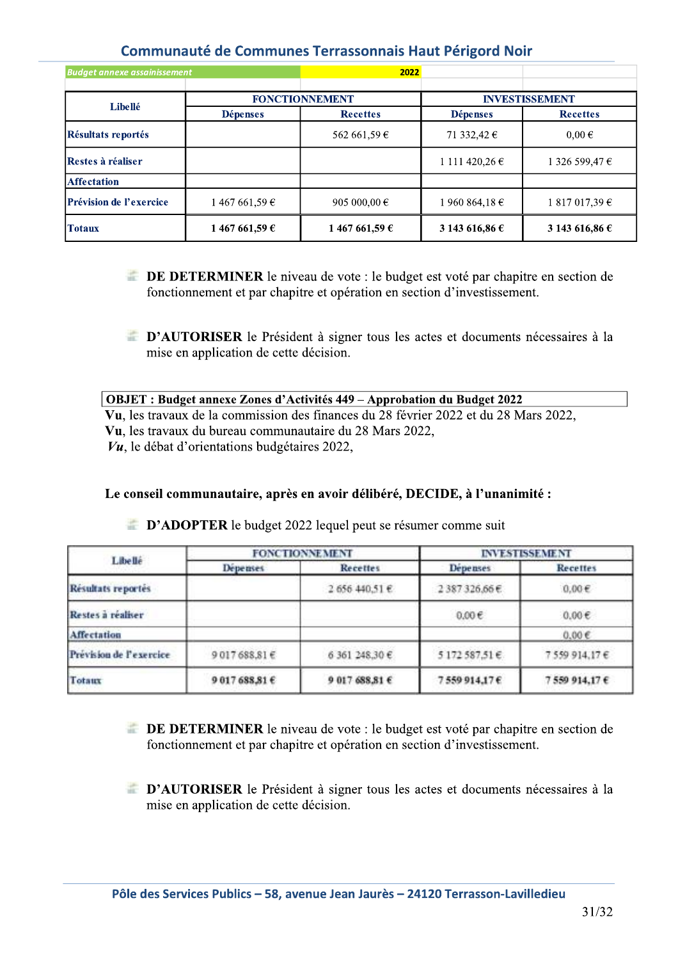| <b>Budget annexe assainissement</b> |                 | 2022                  |                         |                       |  |
|-------------------------------------|-----------------|-----------------------|-------------------------|-----------------------|--|
|                                     |                 | <b>FONCTIONNEMENT</b> |                         | <b>INVESTISSEMENT</b> |  |
| Libellé                             | <b>Dépenses</b> | <b>Recettes</b>       |                         | <b>Recettes</b>       |  |
| Résultats reportés                  |                 | 562 661,59 €          | 71 332,42 $\epsilon$    | $0,00 \in$            |  |
| Restes à réaliser                   |                 |                       | 1 111 420,26 €          | 1 326 599,47 €        |  |
| <b>Affectation</b>                  |                 |                       |                         |                       |  |
| <b>Prévision de l'exercice</b>      | 1 467 661,59 €  | 905 000,00 $\in$      | 1 960 864,18 $\epsilon$ | $1817017,39 \in$      |  |
| <b>Totaux</b>                       | 1 467 661,59 €  | 1467 661,59 €         | 3 143 616,86 €          | 3 143 616,86 €        |  |

- **EXECUTE:** DE DETERMINER le niveau de vote : le budget est voté par chapitre en section de fonctionnement et par chapitre et opération en section d'investissement.
- **E D'AUTORISER** le Président à signer tous les actes et documents nécessaires à la mise en application de cette décision.

| OBJET: Budget annexe Zones d'Activités 449 – Approbation du Budget 2022              |  |  |  |  |
|--------------------------------------------------------------------------------------|--|--|--|--|
| Vu, les travaux de la commission des finances du 28 février 2022 et du 28 Mars 2022, |  |  |  |  |
| Vu, les travaux du bureau communautaire du 28 Mars 2022,                             |  |  |  |  |
| $V\mu$ , le débat d'orientations budgétaires 2022,                                   |  |  |  |  |

#### Le conseil communautaire, après en avoir délibéré, DECIDE, à l'unanimité :

| L lbe llé               |                 | <b>FONCTIONNEMENT</b> | <b>INVESTISSEMENT</b> |                 |  |
|-------------------------|-----------------|-----------------------|-----------------------|-----------------|--|
|                         | <b>Depenses</b> | <b>Recettes</b>       | Depenses              | <b>Recettes</b> |  |
| Résultats reportés      |                 | 2 656 440,51 €        | 2387326,66€           | 0.00E           |  |
| Restes à réaliser       |                 |                       | $0.00 \in$            | $0.00 \in$      |  |
| Affectation             |                 |                       |                       | $0.00\epsilon$  |  |
| Prévision de l'exercice | 9017688,81€     | 6 361 248,30 €        | 5172587,51€           | 7559914.17€     |  |
| Totaux                  | 9 017 688,81 €  | 9 017 688,81 €        | 7559914.17€           | 7559 914,17€    |  |

**EXECUTE:** D'ADOPTER le budget 2022 lequel peut se résumer comme suit

- **EXECUTE:** DE DETERMINER le niveau de vote : le budget est voté par chapitre en section de fonctionnement et par chapitre et opération en section d'investissement.
- **EXECUTORISER** le Président à signer tous les actes et documents nécessaires à la mise en application de cette décision.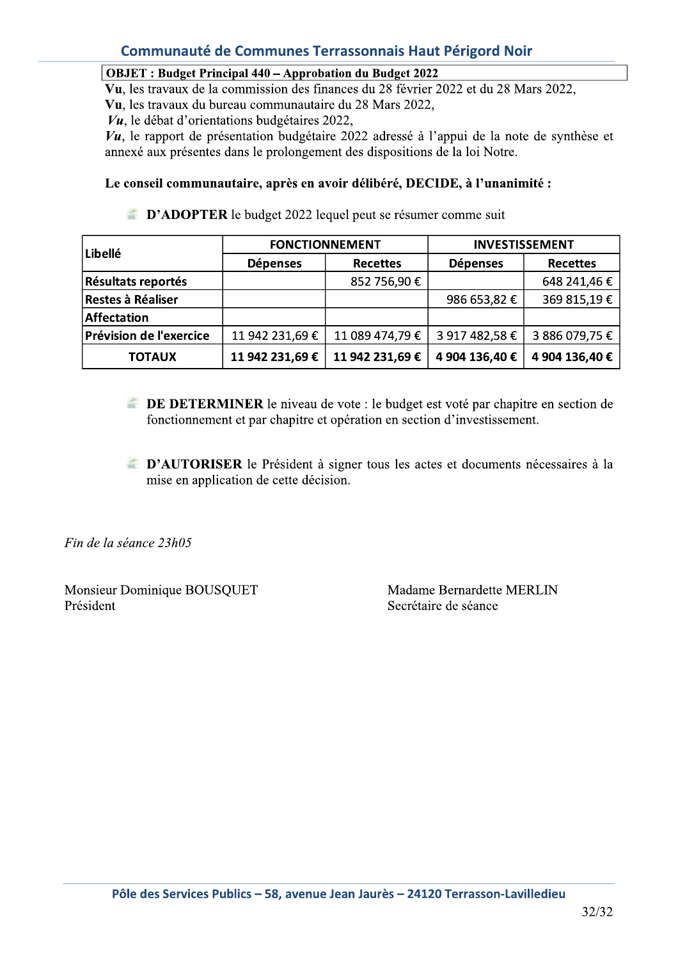#### **OBJET**: Budget Principal 440 – Approbation du Budget 2022

Vu, les travaux de la commission des finances du 28 février 2022 et du 28 Mars 2022,

Vu, les travaux du bureau communautaire du 28 Mars 2022,

 $Vu$ , le débat d'orientations budgétaires 2022,

 $Vu$ , le rapport de présentation budgétaire 2022 adressé à l'appui de la note de synthèse et annexé aux présentes dans le prolongement des dispositions de la loi Notre.

#### Le conseil communautaire, après en avoir délibéré, DECIDE, à l'unanimité :

**D'ADOPTER** le budget 2022 lequel peut se résumer comme suit

| Libellé                   | <b>FONCTIONNEMENT</b> |                 | <b>INVESTISSEMENT</b> |                 |  |
|---------------------------|-----------------------|-----------------|-----------------------|-----------------|--|
|                           | <b>Dépenses</b>       | <b>Recettes</b> | <b>Dépenses</b>       | <b>Recettes</b> |  |
| <b>Résultats reportés</b> |                       | 852 756,90 €    |                       | 648 241,46 €    |  |
| Restes à Réaliser         |                       |                 | 986 653,82 €          | 369 815,19€     |  |
| <b>Affectation</b>        |                       |                 |                       |                 |  |
| Prévision de l'exercice   | 11 942 231,69 €       | 11 089 474,79 € | 3 917 482,58 €        | 3 886 079,75 €  |  |
| <b>TOTAUX</b>             | 11 942 231,69 €       | 11 942 231,69 € | 4 904 136,40 €        | 4 904 136,40 €  |  |

- **EXAMPLE DE DETERMINER** le niveau de vote : le budget est voté par chapitre en section de fonctionnement et par chapitre et opération en section d'investissement.
- **E D'AUTORISER** le Président à signer tous les actes et documents nécessaires à la mise en application de cette décision.

Fin de la séance 23h05

Monsieur Dominique BOUSQUET Président

Madame Bernardette MERLIN Secrétaire de séance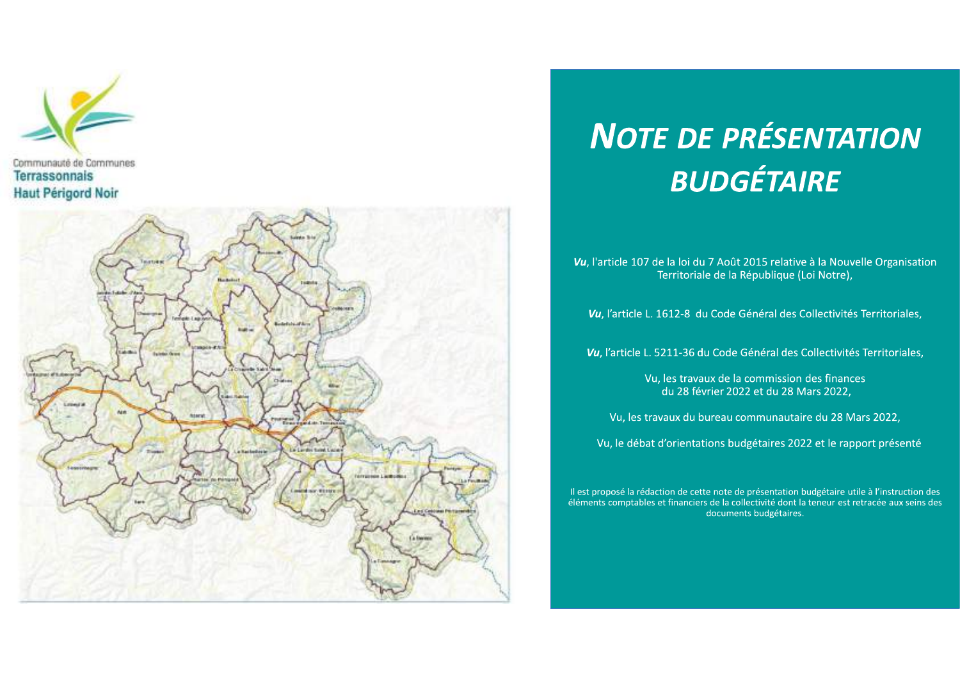



# **NOTE DE PRÉSENTATION BUDGÉTAIRE**

Vu, l'article 107 de la loi du 7 Août 2015 relative à la Nouvelle Organisation Territoriale de la République (Loi Notre),

Vu, l'article L. 1612-8 du Code Général des Collectivités Territoriales,

Vu, l'article L. 5211-36 du Code Général des Collectivités Territoriales,

Vu, les travaux de la commission des finances du 28 février 2022 et du 28 Mars 2022,

Vu, les travaux du bureau communautaire du 28 Mars 2022,

Vu, le débat d'orientations budgétaires 2022 et le rapport présenté

Il est proposé la rédaction de cette note de présentation budgétaire utile à l'instruction des éléments comptables et financiers de la collectivité dont la teneur est retracée aux seins des documents budgétaires.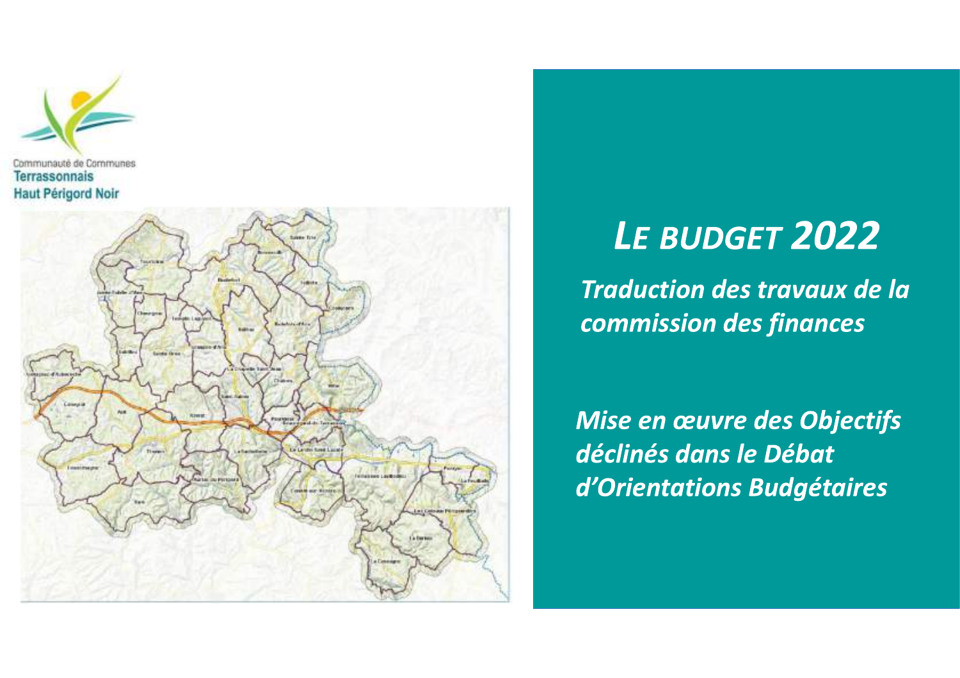



# LE BUDGET 2022

**Traduction des travaux de la** commission des finances

Mise en œuvre des Objectifs déclinés dans le Débat d'Orientations Budgétaires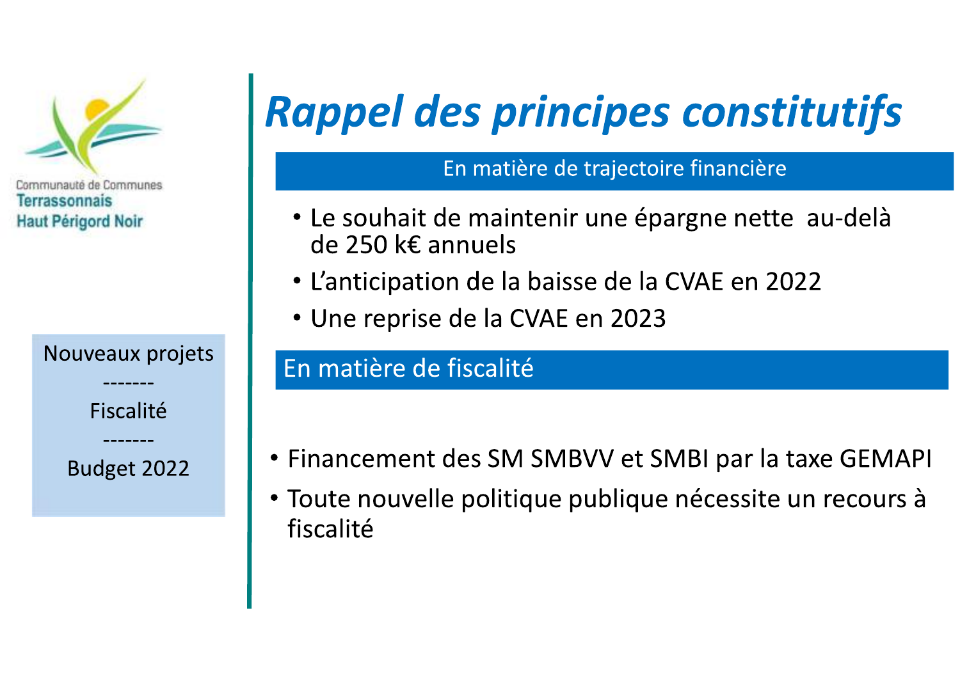

Fiscalité

Budget 2022

# **Rappel des principes constitutifs**

En matière de trajectoire financière

- Le souhait de maintenir une épargne nette au-delà de 250 k€ annuels
- L'anticipation de la baisse de la CVAE en 2022
- Une reprise de la CVAE en 2023

## En matière de fiscalité

- Financement des SM SMBVV et SMBI par la taxe GEMAPI
- Toute nouvelle politique publique nécessite un recours à fiscalité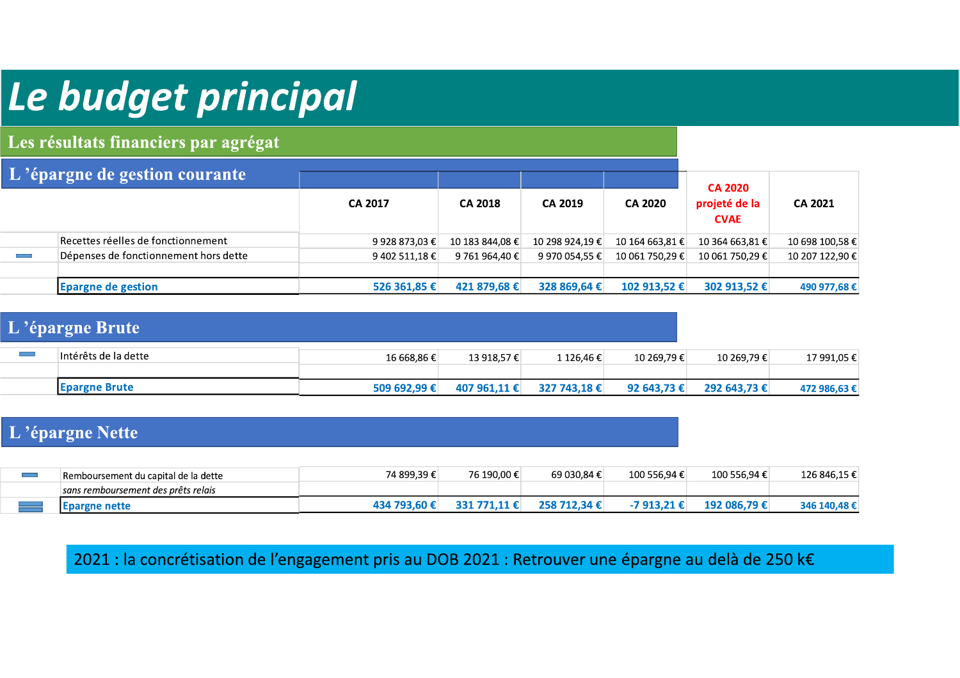# Le budget principal

Les résultats financiers par agrégat

| L'épargne de gestion courante |                                       |                |                 |                 |                 |                              |                 |
|-------------------------------|---------------------------------------|----------------|-----------------|-----------------|-----------------|------------------------------|-----------------|
|                               |                                       |                |                 |                 |                 | <b>CA 2020</b>               |                 |
|                               |                                       | <b>CA 2017</b> | <b>CA 2018</b>  | <b>CA 2019</b>  | <b>CA 2020</b>  | projeté de la<br><b>CVAE</b> | CA 2021         |
|                               | Recettes réelles de fonctionnement    | 9 928 873,03 € | 10 183 844.08 € | 10 298 924.19 € | 10 164 663.81 € | 10 364 663.81 €              | 10 698 100,58 € |
|                               | Dépenses de fonctionnement hors dette | 9 402 511,18 € | 9 761 964.40 €  | 9 970 054,55 €  | 10 061 750.29 € | 10 061 750,29 €              | 10 207 122,90 € |
|                               |                                       |                |                 |                 |                 |                              |                 |
|                               | <b>Epargne de gestion</b>             | 526 361,85 €   | 421 879,68 €    | 328 869,64 €    | 102 913,52 €    | 302 913,52 €                 | 490 977,68 €    |

### L'épargne Brute

| Intérêts de la dette  | 16 668,86 € | 13 918.57 €  | l 126.46€    | 10 269,79€  | 10 269.79€   | 17 991,05 €  |
|-----------------------|-------------|--------------|--------------|-------------|--------------|--------------|
|                       |             |              |              |             |              |              |
| <b>IEpargne Brute</b> | 509 692.99€ | 407 961.11 € | 327 743.18 € | 92 643.73 € | 292 643.73 € | 472 986,63 € |

### L'épargne Nette

| Remboursement du capital de la dette | 74 899.39 €    | 76 190.00 € | 69 030.84€ | 100 556.94 € | 100 556.94 €  | 126 846,15 € |
|--------------------------------------|----------------|-------------|------------|--------------|---------------|--------------|
| sans remboursement des prêts relais  |                |             |            |              |               |              |
| epargne nette:                       | <b>434 793</b> | <b>PO1</b>  | )5.R       |              | 192 086.79 ŧ⊥ | 346 1.       |

2021 : la concrétisation de l'engagement pris au DOB 2021 : Retrouver une épargne au delà de 250 k€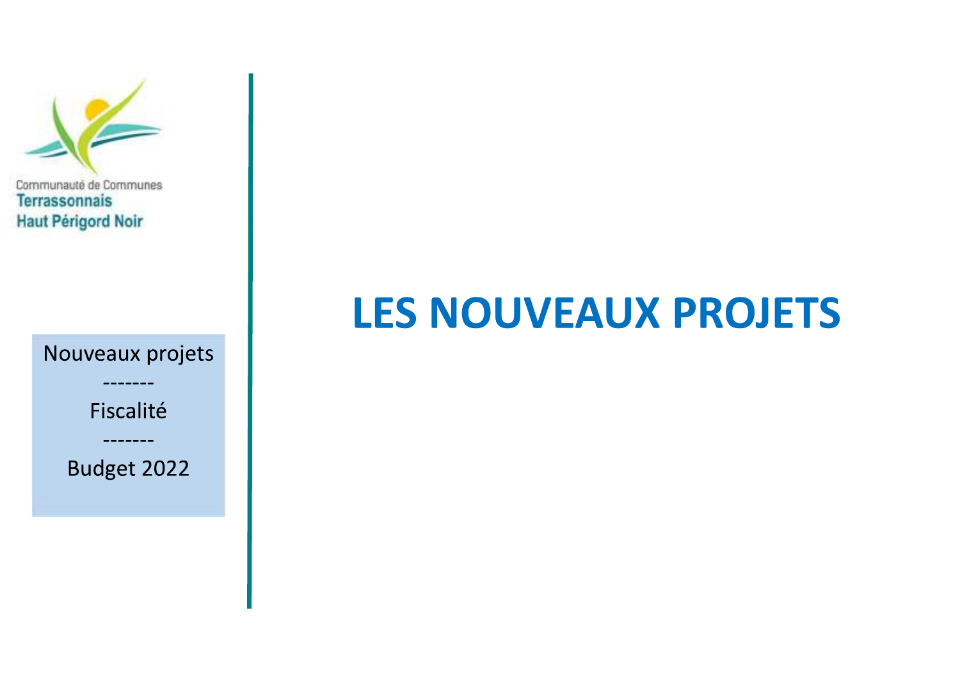

# **LES NOUVEAUX PROJETS**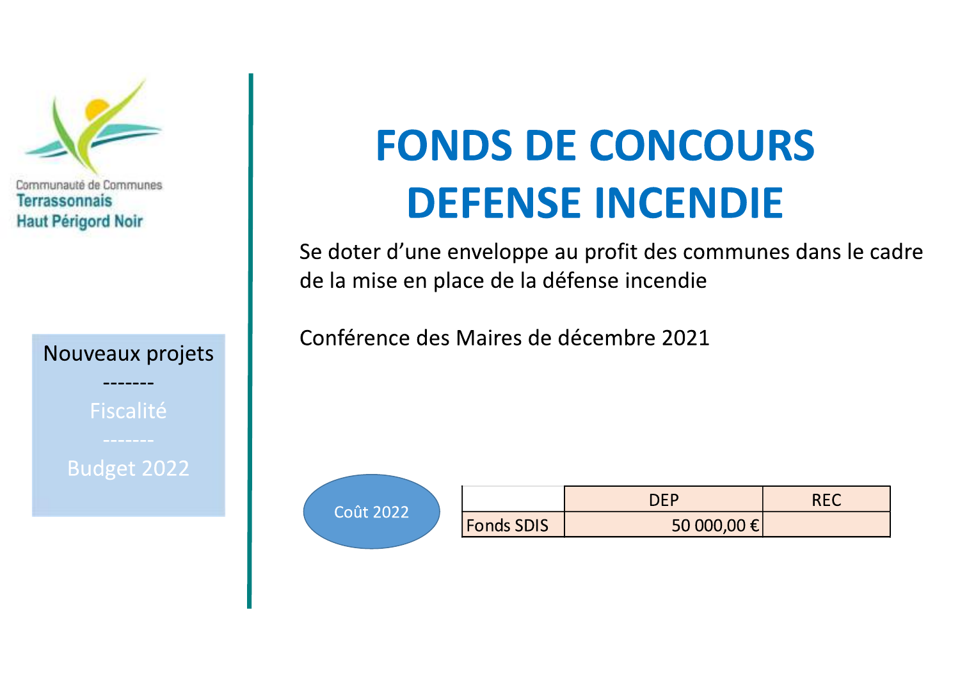

Fiscalité

Budget 2022

# **FONDS DE CONCOURS DEFENSE INCENDIE**

Se doter d'une enveloppe au profit des communes dans le cadre de la mise en place de la défense incendie

Conférence des Maires de décembre 2021



|                   | า⊫          |  |
|-------------------|-------------|--|
| <b>Fonds SDIS</b> | 50 000,00 € |  |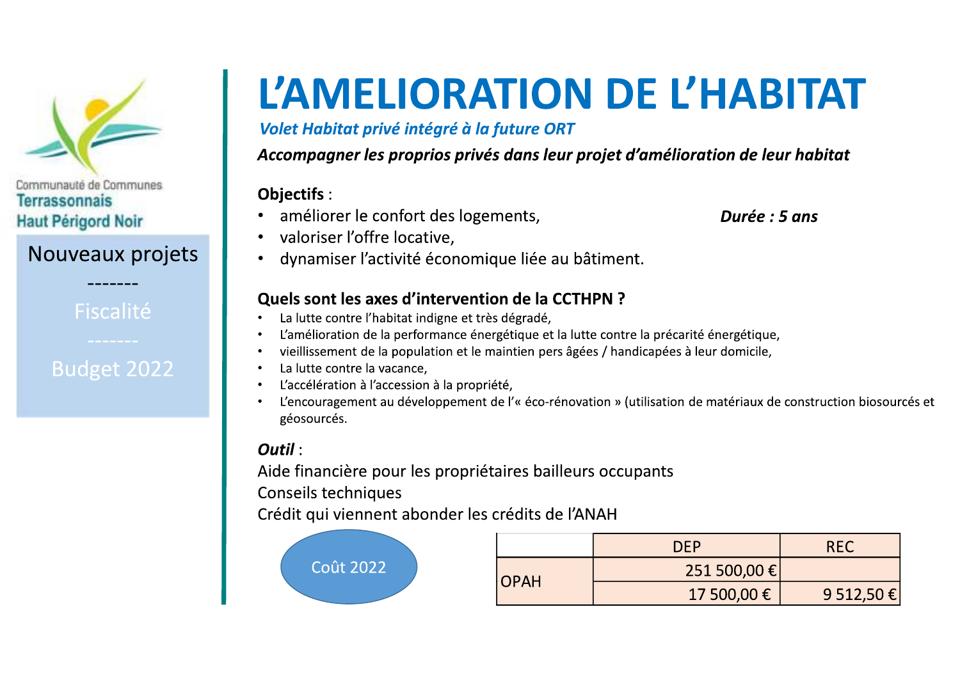

### Nouveaux projets

Fiscalité

## **Budget 2022**

# L'AMELIORATION DE L'HABITAT

Volet Habitat privé intégré à la future ORT

Accompagner les proprios privés dans leur projet d'amélioration de leur habitat

### **Objectifs:**

améliorer le confort des logements,

Durée : 5 ans

- valoriser l'offre locative.
- dynamiser l'activité économique liée au bâtiment.

### **Quels sont les axes d'intervention de la CCTHPN ?**

- La lutte contre l'habitat indigne et très dégradé,
- L'amélioration de la performance énergétique et la lutte contre la précarité énergétique,
- vieillissement de la population et le maintien pers âgées / handicapées à leur domicile,
- La lutte contre la vacance,
- L'accélération à l'accession à la propriété,
- L'encouragement au développement de l'« éco-rénovation » (utilisation de matériaux de construction biosourcés et géosourcés.

### $Outil:$

Aide financière pour les propriétaires bailleurs occupants

**Conseils techniques** 

Crédit qui viennent abonder les crédits de l'ANAH



|             | <b>DEP</b>   | <b>RFC</b> |
|-------------|--------------|------------|
| <b>OPAH</b> | 251 500,00 € |            |
|             | 17 500,00 €  | 9 512,50 € |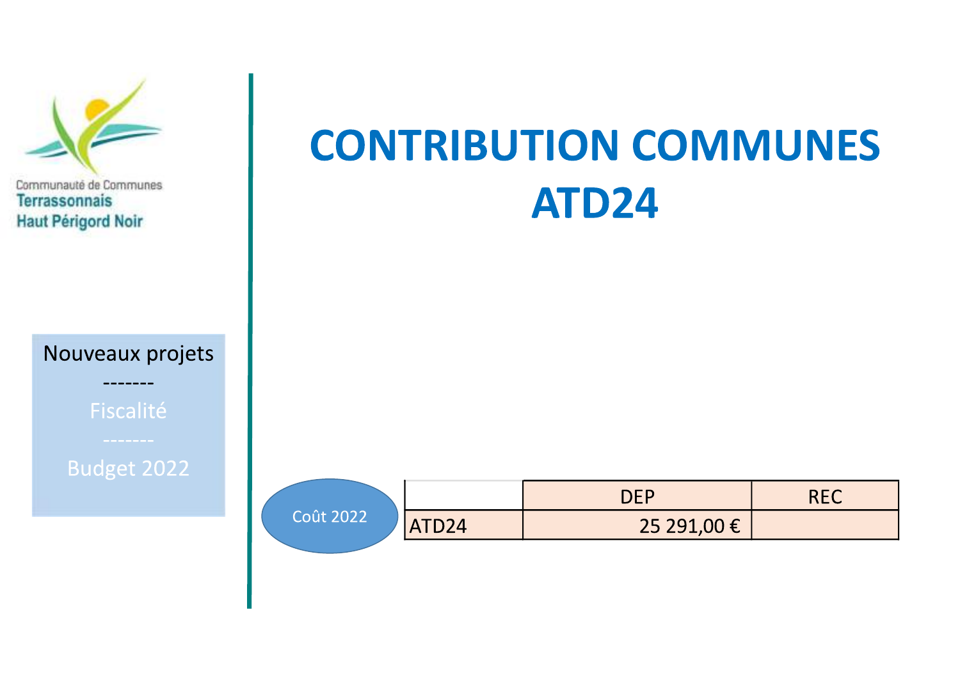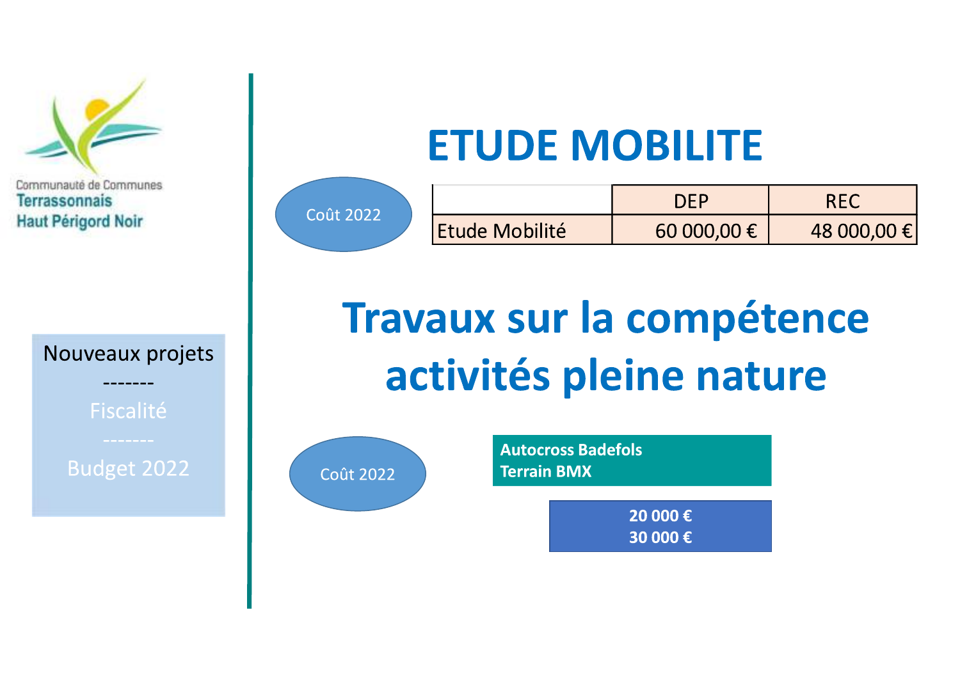

# **ETUDE MOBILITE**

| t 2022 |                       | <b>DFP</b>  |             |
|--------|-----------------------|-------------|-------------|
|        | <b>Etude Mobilité</b> | 60 000,00 € | 48 000,00 € |

# **Travaux sur la compétence** activités pleine nature



Coû

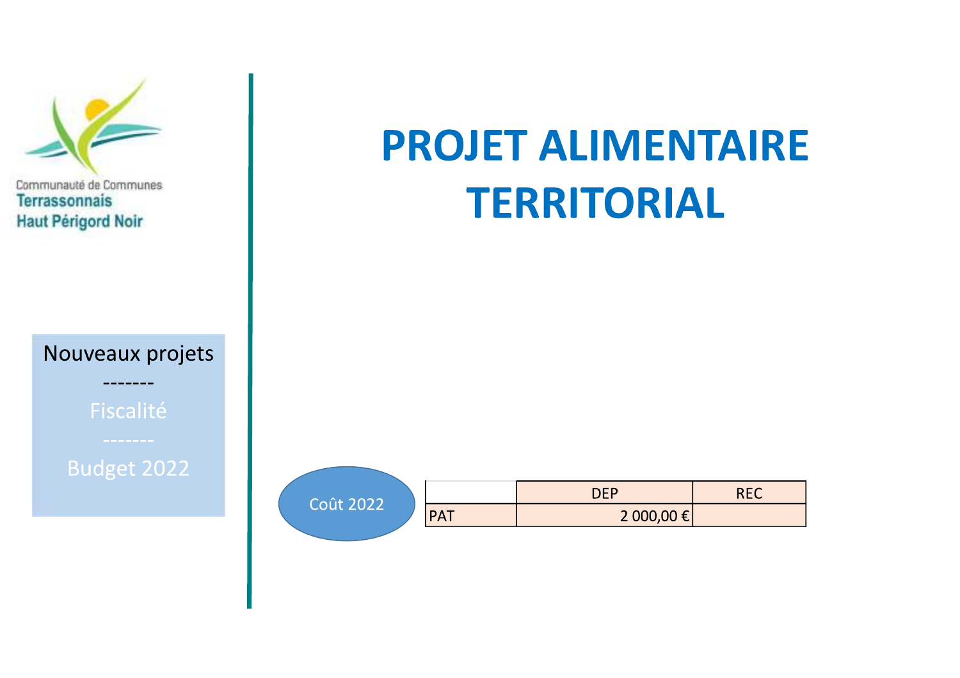

# **PROJET ALIMENTAIRE TERRITORIAL**

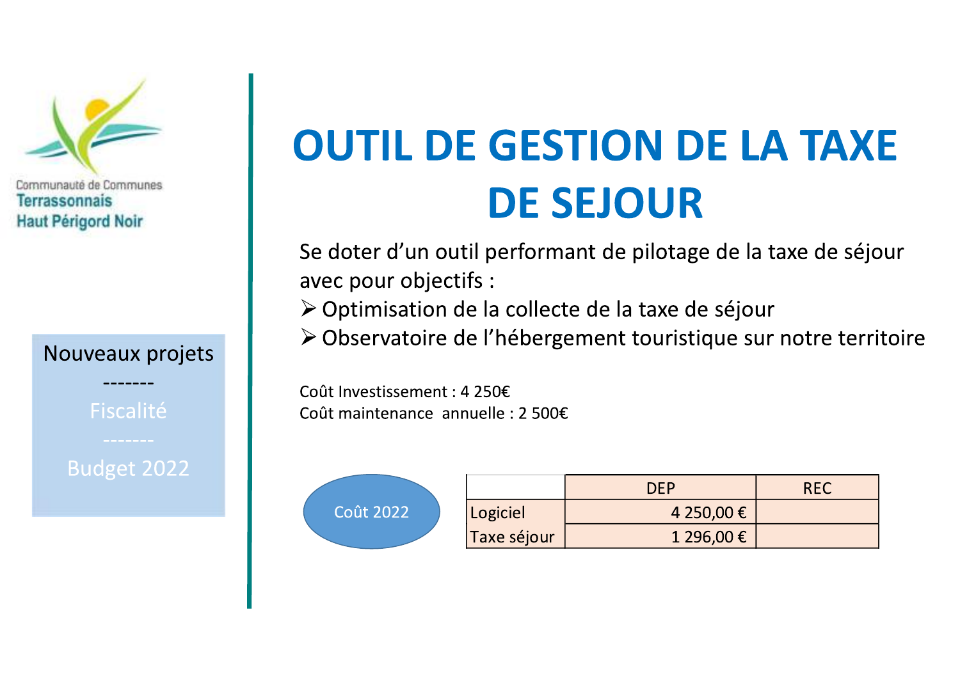

# **OUTIL DE GESTION DE LA TAXE DE SEJOUR**

Se doter d'un outil performant de pilotage de la taxe de séjour avec pour objectifs :

≻ Optimisation de la collecte de la taxe de séjour

> Observatoire de l'hébergement touristique sur notre territoire

Coût Investissement : 4 250€ Coût maintenance annuelle : 2 500€

| Coût 2022 |
|-----------|
|           |

|             | DE P       | <b>REC</b> |
|-------------|------------|------------|
| Logiciel    | 4 250,00 € |            |
| Taxe séjour | 1 296,00 € |            |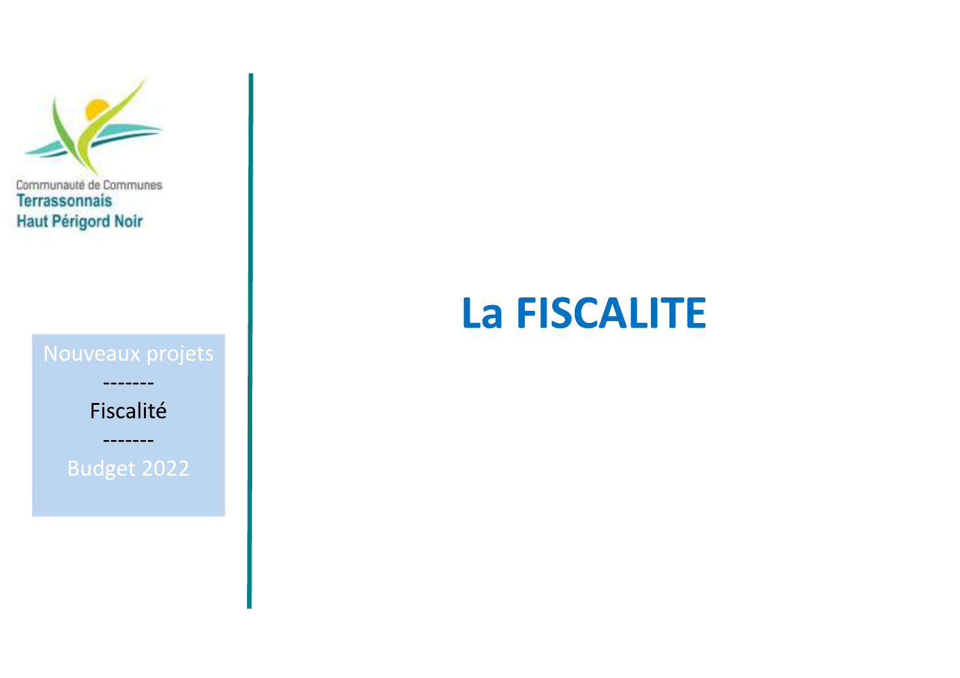

# **La FISCALITE**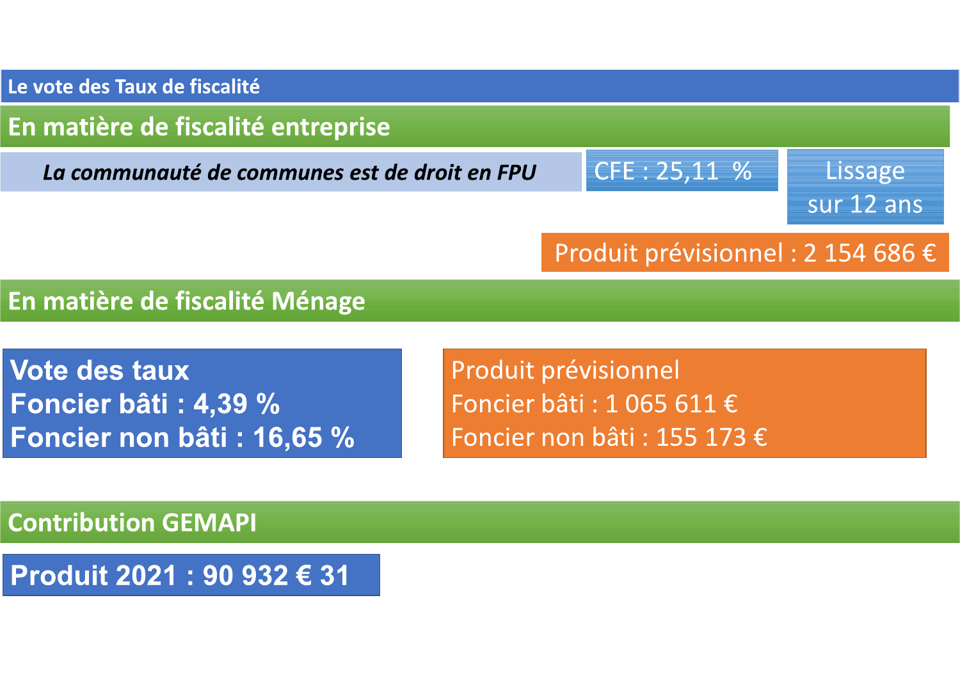Le vote des Taux de fiscalité

## En matière de fiscalité entreprise

La communauté de communes est de droit en FPU

CFE: 25,11 %

Lissage sur 12 ans

## Produit prévisionnel : 2 154 686 €

## En matière de fiscalité Ménage

**Vote des taux** Foncier bâti: 4,39 % Foncier non bâti: 16,65 % Produit prévisionnel Foncier bâti : 1 065 611 € Foncier non bâti : 155 173 €

**Contribution GEMAPI** 

Produit 2021 : 90 932 € 31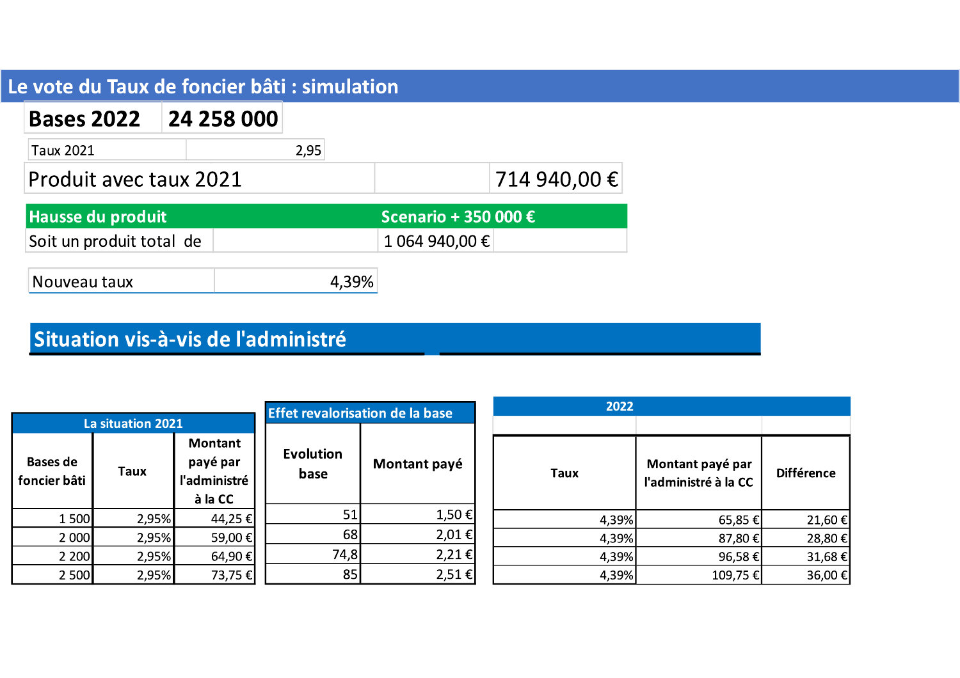## Le vote du Taux de foncier bâti : simulation

| <b>Bases 2022</b>        | 24 258 000 |      |                      |              |
|--------------------------|------------|------|----------------------|--------------|
| Taux 2021                |            | 2,95 |                      |              |
| Produit avec taux 2021   |            |      |                      | 714 940,00 € |
| <b>Hausse du produit</b> |            |      | Scenario + 350 000 € |              |
| Soit un produit total de |            |      | 1 064 940,00 €       |              |

Nouveau taux 4,39%

## Situation vis-à-vis de l'administré

| <b>Effet revalorisation de la base</b><br>La situation 2021 |             |                                                       |                          |               |             | 2022  |                                          |                   |
|-------------------------------------------------------------|-------------|-------------------------------------------------------|--------------------------|---------------|-------------|-------|------------------------------------------|-------------------|
| <b>Bases de</b><br>foncier bâti                             | <b>Taux</b> | <b>Montant</b><br>payé par<br>l'administré<br>à la CC | <b>Evolution</b><br>base | Montant payé  | <b>Taux</b> |       | Montant payé par<br>l'administré à la CC | <b>Différence</b> |
| 1500                                                        | 2,95%       | 44,25 €                                               | 51                       | 1,50 €        |             | 4,39% | $65,85 \in$                              | 21,60             |
| 2 000                                                       | 2,95%       | 59,00 €                                               | 68                       | $2,01 \in$    |             | 4,39% | 87,80 €                                  | 28,80             |
| 2 2 0 0                                                     | 2,95%       | 64,90 €                                               | 74,8                     | 2,21 €        |             | 4,39% | 96,58 €                                  | 31,68             |
| 2 500                                                       | 2,95%       | 73,75 €                                               | 85                       | $2,51 \notin$ |             | 4,39% | 109,75 €                                 | 36,00             |

21,60€ 28,80€ 31,68€ 36,00€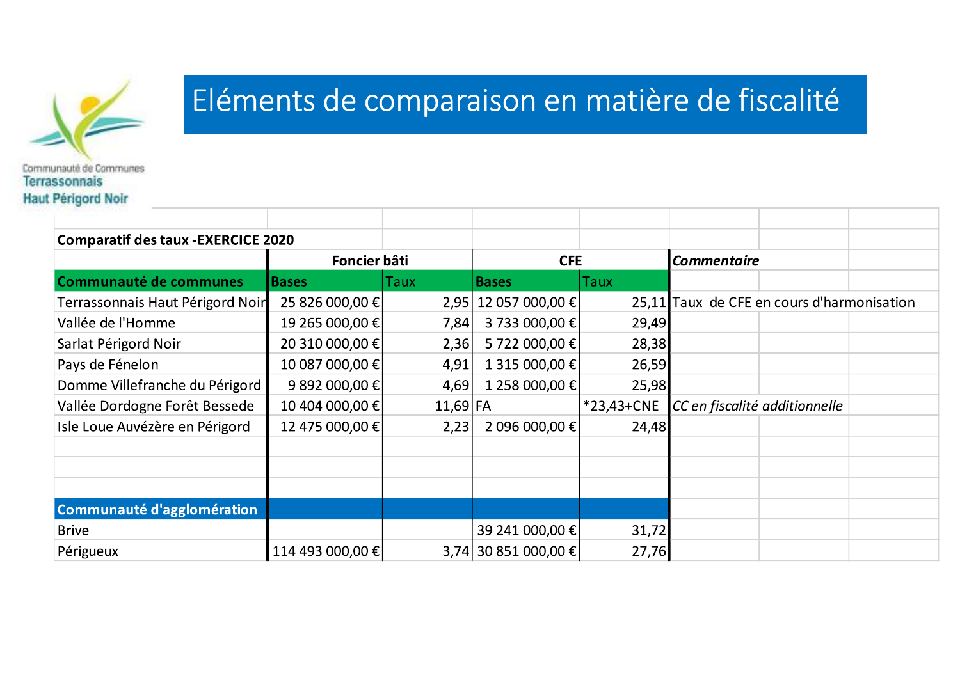

# Eléments de comparaison en matière de fiscalité

| <b>Comparatif des taux - EXERCICE 2020</b> |                  |            |                      |            |                                            |  |
|--------------------------------------------|------------------|------------|----------------------|------------|--------------------------------------------|--|
| Foncier bâti                               |                  |            | <b>CFE</b>           |            | <b>Commentaire</b>                         |  |
| <b>Communauté de communes</b>              | <b>Bases</b>     | Taux       | <b>Bases</b>         | Taux       |                                            |  |
| Terrassonnais Haut Périgord Noir           | 25 826 000,00 €  |            | 2,95 12 057 000,00 € |            | 25,11 Taux de CFE en cours d'harmonisation |  |
| Vallée de l'Homme                          | 19 265 000,00 €  | 7,84       | 3 733 000,00 €       | 29,49      |                                            |  |
| Sarlat Périgord Noir                       | 20 310 000,00 €  | 2,36       | 5 722 000,00 €       | 28,38      |                                            |  |
| Pays de Fénelon                            | 10 087 000,00 €  | 4,91       | 1 315 000,00 €       | 26,59      |                                            |  |
| Domme Villefranche du Périgord             | 9 892 000,00 €   | 4,69       | 1 258 000,00 €       | 25,98      |                                            |  |
| Vallée Dordogne Forêt Bessede              | 10 404 000,00 €  | $11,69$ FA |                      | *23,43+CNE | CC en fiscalité additionnelle              |  |
| Isle Loue Auvézère en Périgord             | 12 475 000,00 €  | 2,23       | 2 096 000,00 €       | 24,48      |                                            |  |
|                                            |                  |            |                      |            |                                            |  |
|                                            |                  |            |                      |            |                                            |  |
|                                            |                  |            |                      |            |                                            |  |
| Communauté d'agglomération                 |                  |            |                      |            |                                            |  |
| <b>Brive</b>                               |                  |            | 39 241 000,00 €      | 31,72      |                                            |  |
| Périgueux                                  | 114 493 000,00 € |            | 3,74 30 851 000,00 € | 27,76      |                                            |  |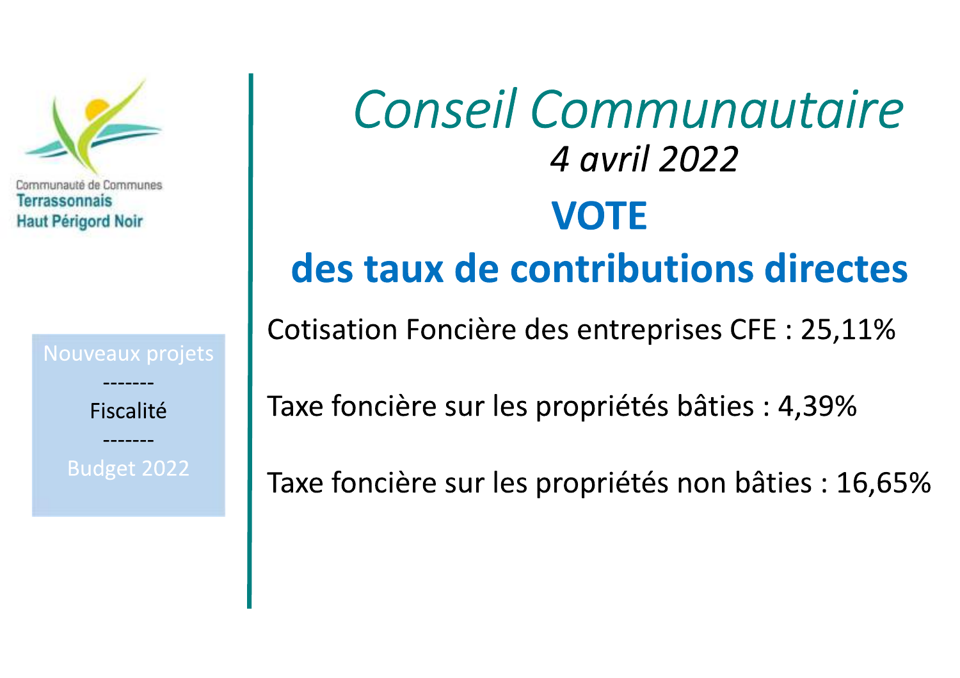

Fiscalité

Budget 2022

# Conseil Communautaire 4 avril 2022 **VOTE** des taux de contributions directes

Cotisation Foncière des entreprises CFE : 25,11%

Taxe foncière sur les propriétés bâties : 4,39%

Taxe foncière sur les propriétés non bâties : 16,65%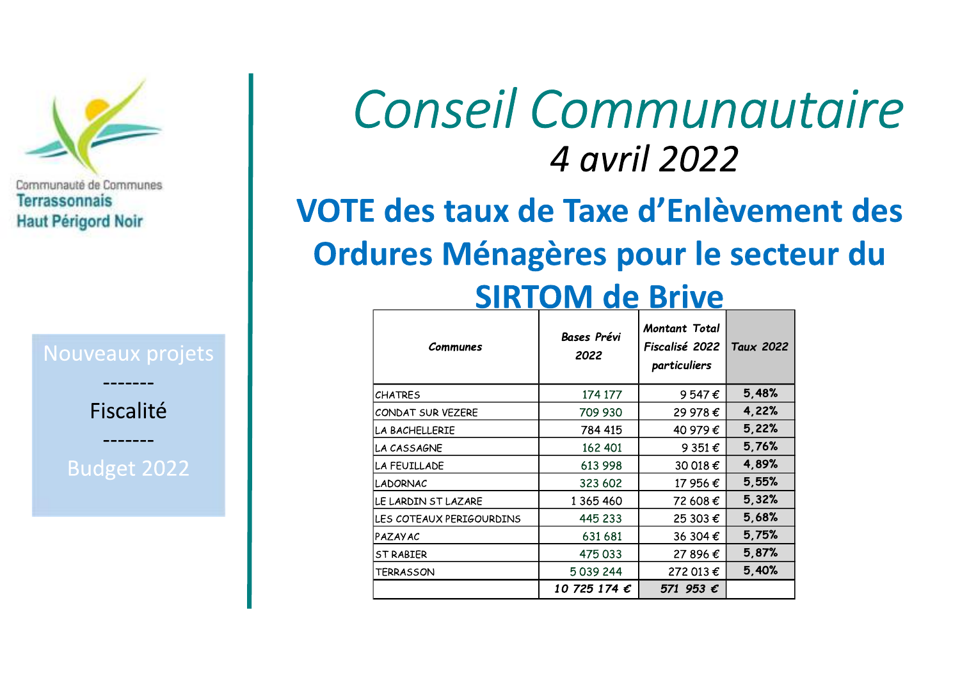

Fiscalité

Budget 2022

# Conseil Communautaire 4 avril 2022

# VOTE des taux de Taxe d'Enlèvement des Ordures Ménagères pour le secteur du

# **SIRTOM de Brive**

| Communes                 | <b>Bases Prévi</b><br>2022 | Montant Total<br>Fiscalisé 2022<br>particuliers | Taux 2022 |  |
|--------------------------|----------------------------|-------------------------------------------------|-----------|--|
| <b>CHATRES</b>           | 174 177                    | 9547 $\epsilon$                                 | 5,48%     |  |
| CONDAT SUR VEZERE        | 709 930                    | 29 978€                                         | 4,22%     |  |
| LA BACHELLERIE           | 784 415                    | 40 979€                                         | 5,22%     |  |
| LA CASSAGNE              | 162 401                    | 9 3 5 1 $\epsilon$                              | 5,76%     |  |
| LA FEUILLADE             | 613 998                    | 30 018 €                                        | 4,89%     |  |
| <b>LADORNAC</b>          | 323 602                    | 17 956 €                                        | 5,55%     |  |
| LE LARDIN ST LAZARE      | 1 365 460                  | 72 608€                                         | 5,32%     |  |
| LES COTEAUX PERIGOURDINS | 445 233                    | 25 303 €                                        | 5,68%     |  |
| <b>PAZAYAC</b>           | 631 681                    | 36 304 €                                        | 5,75%     |  |
| <b>ST RABIER</b>         | 475033                     | 27 896€                                         | 5,87%     |  |
| <b>TERRASSON</b>         | 5039244                    | 272 013 €                                       | 5,40%     |  |
|                          | 10 725 174 $\epsilon$      | 571 953 €                                       |           |  |